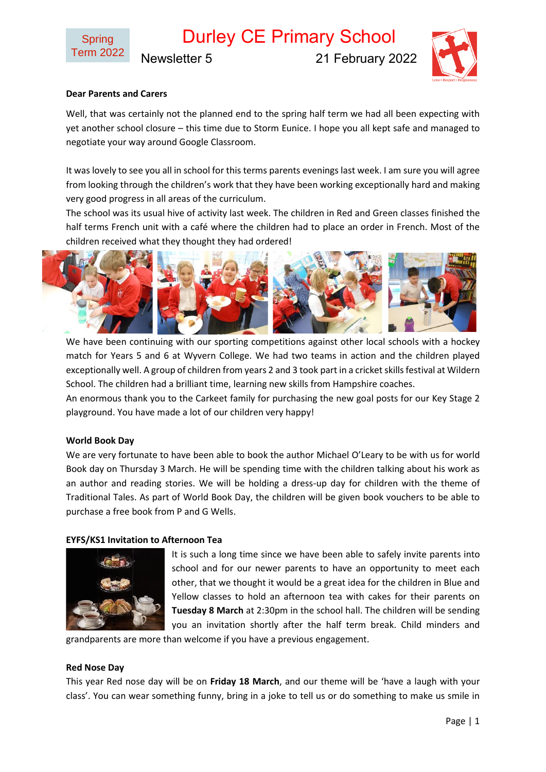Durley CE Primary School

Newsletter 5 21 February 2022



## **Dear Parents and Carers**

Well, that was certainly not the planned end to the spring half term we had all been expecting with yet another school closure – this time due to Storm Eunice. I hope you all kept safe and managed to negotiate your way around Google Classroom.

It was lovely to see you all in school for this terms parents evenings last week. I am sure you will agree from looking through the children's work that they have been working exceptionally hard and making very good progress in all areas of the curriculum.

The school was its usual hive of activity last week. The children in Red and Green classes finished the half terms French unit with a café where the children had to place an order in French. Most of the children received what they thought they had ordered!



We have been continuing with our sporting competitions against other local schools with a hockey match for Years 5 and 6 at Wyvern College. We had two teams in action and the children played exceptionally well. A group of children from years 2 and 3 took part in a cricket skills festival at Wildern School. The children had a brilliant time, learning new skills from Hampshire coaches.

An enormous thank you to the Carkeet family for purchasing the new goal posts for our Key Stage 2 playground. You have made a lot of our children very happy!

#### **World Book Day**

We are very fortunate to have been able to book the author Michael O'Leary to be with us for world Book day on Thursday 3 March. He will be spending time with the children talking about his work as an author and reading stories. We will be holding a dress-up day for children with the theme of Traditional Tales. As part of World Book Day, the children will be given book vouchers to be able to purchase a free book from P and G Wells.

#### **EYFS/KS1 Invitation to Afternoon Tea**



It is such a long time since we have been able to safely invite parents into school and for our newer parents to have an opportunity to meet each other, that we thought it would be a great idea for the children in Blue and Yellow classes to hold an afternoon tea with cakes for their parents on **Tuesday 8 March** at 2:30pm in the school hall. The children will be sending you an invitation shortly after the half term break. Child minders and

grandparents are more than welcome if you have a previous engagement.

#### **Red Nose Day**

This year Red nose day will be on **Friday 18 March**, and our theme will be 'have a laugh with your class'. You can wear something funny, bring in a joke to tell us or do something to make us smile in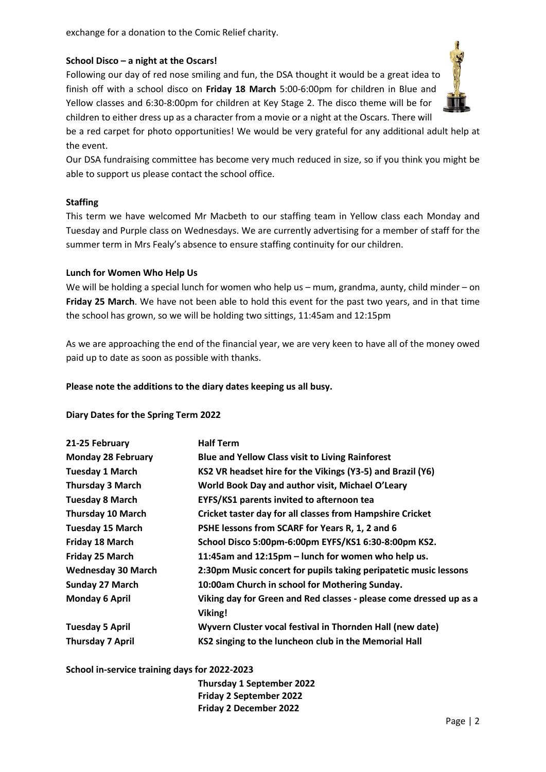exchange for a donation to the Comic Relief charity.

### **School Disco – a night at the Oscars!**

Following our day of red nose smiling and fun, the DSA thought it would be a great idea to finish off with a school disco on **Friday 18 March** 5:00-6:00pm for children in Blue and Yellow classes and 6:30-8:00pm for children at Key Stage 2. The disco theme will be for children to either dress up as a character from a movie or a night at the Oscars. There will

be a red carpet for photo opportunities! We would be very grateful for any additional adult help at the event.

Our DSA fundraising committee has become very much reduced in size, so if you think you might be able to support us please contact the school office.

#### **Staffing**

This term we have welcomed Mr Macbeth to our staffing team in Yellow class each Monday and Tuesday and Purple class on Wednesdays. We are currently advertising for a member of staff for the summer term in Mrs Fealy's absence to ensure staffing continuity for our children.

#### **Lunch for Women Who Help Us**

We will be holding a special lunch for women who help us – mum, grandma, aunty, child minder – on **Friday 25 March**. We have not been able to hold this event for the past two years, and in that time the school has grown, so we will be holding two sittings, 11:45am and 12:15pm

As we are approaching the end of the financial year, we are very keen to have all of the money owed paid up to date as soon as possible with thanks.

### **Please note the additions to the diary dates keeping us all busy.**

#### **Diary Dates for the Spring Term 2022**

| 21-25 February            | <b>Half Term</b>                                                   |
|---------------------------|--------------------------------------------------------------------|
| <b>Monday 28 February</b> | <b>Blue and Yellow Class visit to Living Rainforest</b>            |
| <b>Tuesday 1 March</b>    | KS2 VR headset hire for the Vikings (Y3-5) and Brazil (Y6)         |
| <b>Thursday 3 March</b>   | World Book Day and author visit, Michael O'Leary                   |
| <b>Tuesday 8 March</b>    | EYFS/KS1 parents invited to afternoon tea                          |
| <b>Thursday 10 March</b>  | Cricket taster day for all classes from Hampshire Cricket          |
| <b>Tuesday 15 March</b>   | PSHE lessons from SCARF for Years R, 1, 2 and 6                    |
| Friday 18 March           | School Disco 5:00pm-6:00pm EYFS/KS1 6:30-8:00pm KS2.               |
| Friday 25 March           | 11:45am and 12:15pm - lunch for women who help us.                 |
| <b>Wednesday 30 March</b> | 2:30pm Music concert for pupils taking peripatetic music lessons   |
| <b>Sunday 27 March</b>    | 10:00am Church in school for Mothering Sunday.                     |
| <b>Monday 6 April</b>     | Viking day for Green and Red classes - please come dressed up as a |
|                           | Viking!                                                            |
| <b>Tuesday 5 April</b>    | Wyvern Cluster vocal festival in Thornden Hall (new date)          |
| <b>Thursday 7 April</b>   | KS2 singing to the luncheon club in the Memorial Hall              |

**School in-service training days for 2022-2023**

**Thursday 1 September 2022 Friday 2 September 2022 Friday 2 December 2022**